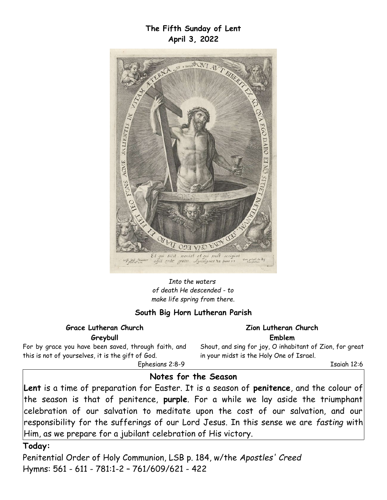**The Fifth Sunday of Lent April 3, 2022**



*Into the waters of death He descended - to make life spring from there.*

#### **South Big Horn Lutheran Parish**

#### **Grace Lutheran Church Greybull**

For by grace you have been saved, through faith, and this is not of yourselves, it is the gift of God.

Shout, and sing for joy, O inhabitant of Zion, for great in your midst is the Holy One of Israel.

**Zion Lutheran Church Emblem**

Ephesians 2:8-9

Isaiah 12:6

## **Notes for the Season**

**Lent** is a time of preparation for Easter. It is a season of **penitence**, and the colour of the season is that of penitence, **purple**. For a while we lay aside the triumphant celebration of our salvation to meditate upon the cost of our salvation, and our responsibility for the sufferings of our Lord Jesus. In this sense we are *fasting* with Him, as we prepare for a jubilant celebration of His victory.

**Today:**

Penitential Order of Holy Communion, LSB p. 184, w/the *Apostles' Creed* Hymns: 561 - 611 - 781:1-2 – 761/609/621 - 422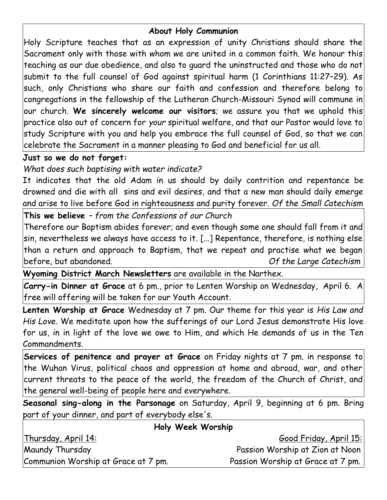#### **About Holy Communion**

Holy Scripture teaches that as an expression of unity Christians should share the Sacrament only with those with whom we are united in a common faith. We honour this teaching as our due obedience, and also to guard the uninstructed and those who do not submit to the full counsel of God against spiritual harm (1 Corinthians 11:27–29). As such, only Christians who share our faith and confession and therefore belong to congregations in the fellowship of the Lutheran Church-Missouri Synod will commune in our church. **We sincerely welcome our visitors**; we assure you that we uphold this practice also out of concern for *your* spiritual welfare, and that our Pastor would love to study Scripture with you and help you embrace the full counsel of God, so that we can celebrate the Sacrament in a manner pleasing to God and beneficial for us all.

## **Just so we do not forget:**

*What does such baptising with water indicate?*

It indicates that the old Adam in us should by daily contrition and repentance be drowned and die with all sins and evil desires, and that a new man should daily emerge and arise to live before God in righteousness and purity forever. *Of the Small Catechism*

**This we believe** *– from the Confessions of our Church*

Therefore our Baptism abides forever; and even though some one should fall from it and sin, nevertheless we always have access to it. [...] Repentance, therefore, is nothing else than a return and approach to Baptism, that we repeat and practise what we began before, but abandoned. *Of the Large Catechism*

**Wyoming District March Newsletters** are available in the Narthex.

**Carry-in Dinner at Grace** at 6 pm., prior to Lenten Worship on Wednesday, April 6. A free will offering will be taken for our Youth Account.

**Lenten Worship at Grace** Wednesday at 7 pm. Our theme for this year is *His Law and His Love.* We meditate upon how the sufferings of our Lord Jesus demonstrate His love for us, in in light of the love we owe to Him, and which He demands of us in the Ten Commandments.

**Services of penitence and prayer at Grace** on Friday nights at 7 pm. in response to the Wuhan Virus, political chaos and oppression at home and abroad, war, and other current threats to the peace of the world, the freedom of the Church of Christ, and the general well-being of people here and everywhere.

**Seasonal sing-along in the Parsonage** on Saturday, April 9, beginning at 6 pm. Bring part of your dinner, and part of everybody else's.

| Holy Week Worship                   |                                   |  |
|-------------------------------------|-----------------------------------|--|
| <u> Thursday, April 14:</u>         | <u>Good Friday, April 15:</u>     |  |
| Maundy Thursday                     | Passion Worship at Zion at Noon   |  |
| Communion Worship at Grace at 7 pm. | Passion Worship at Grace at 7 pm. |  |